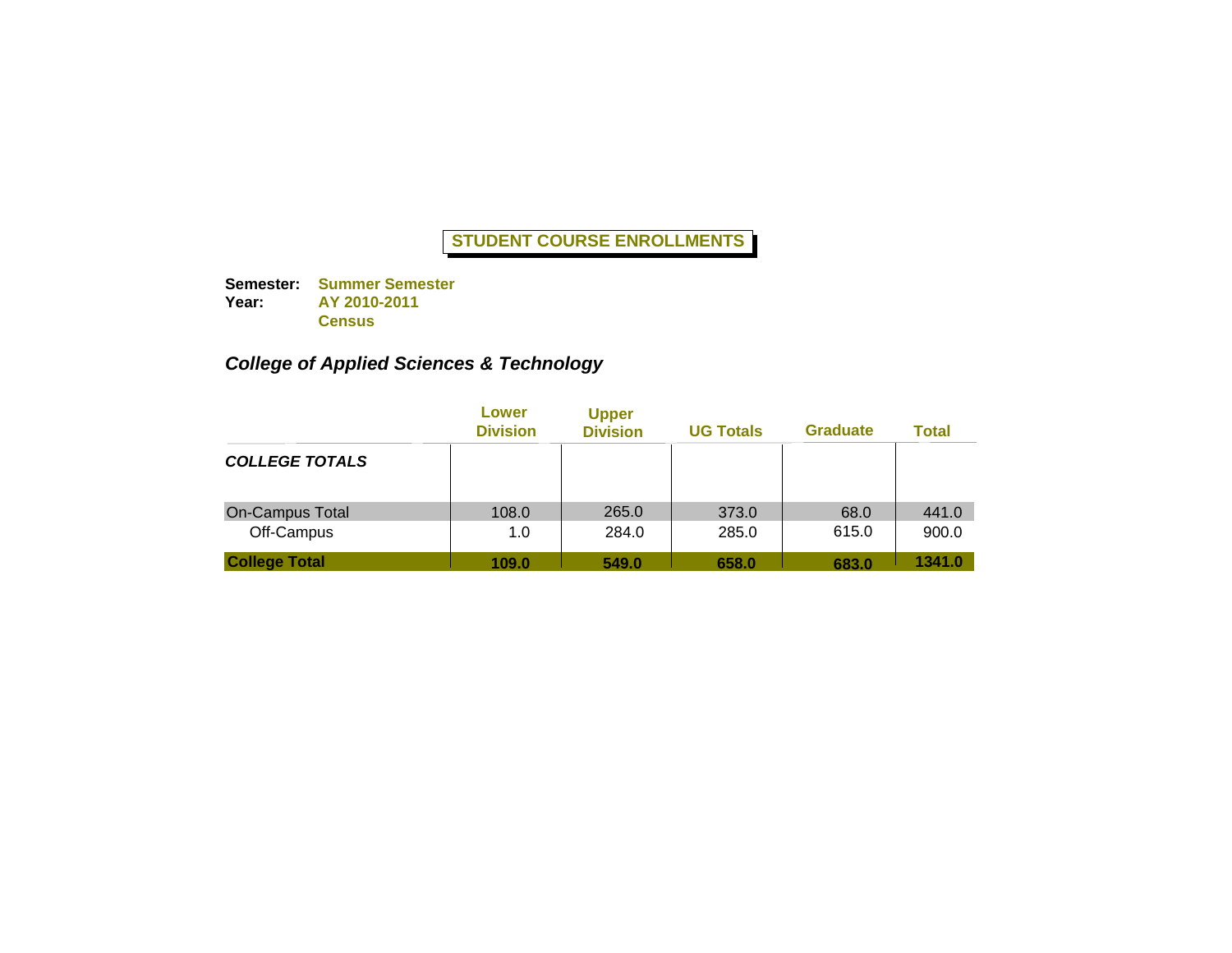**Semester: Summer Semester Year: AY 2010-2011 Census**

# *College of Applied Sciences & Technology*

|                                      | Lower<br><b>Division</b> | <b>Upper</b><br><b>Division</b> | <b>UG Totals</b> | <b>Graduate</b> | <b>Total</b>   |
|--------------------------------------|--------------------------|---------------------------------|------------------|-----------------|----------------|
| <b>COLLEGE TOTALS</b>                |                          |                                 |                  |                 |                |
| <b>On-Campus Total</b><br>Off-Campus | 108.0<br>1.0             | 265.0<br>284.0                  | 373.0<br>285.0   | 68.0<br>615.0   | 441.0<br>900.0 |
| <b>College Total</b>                 | 109.0                    | 549.0                           | 658.0            | 683.0           | 1341.0         |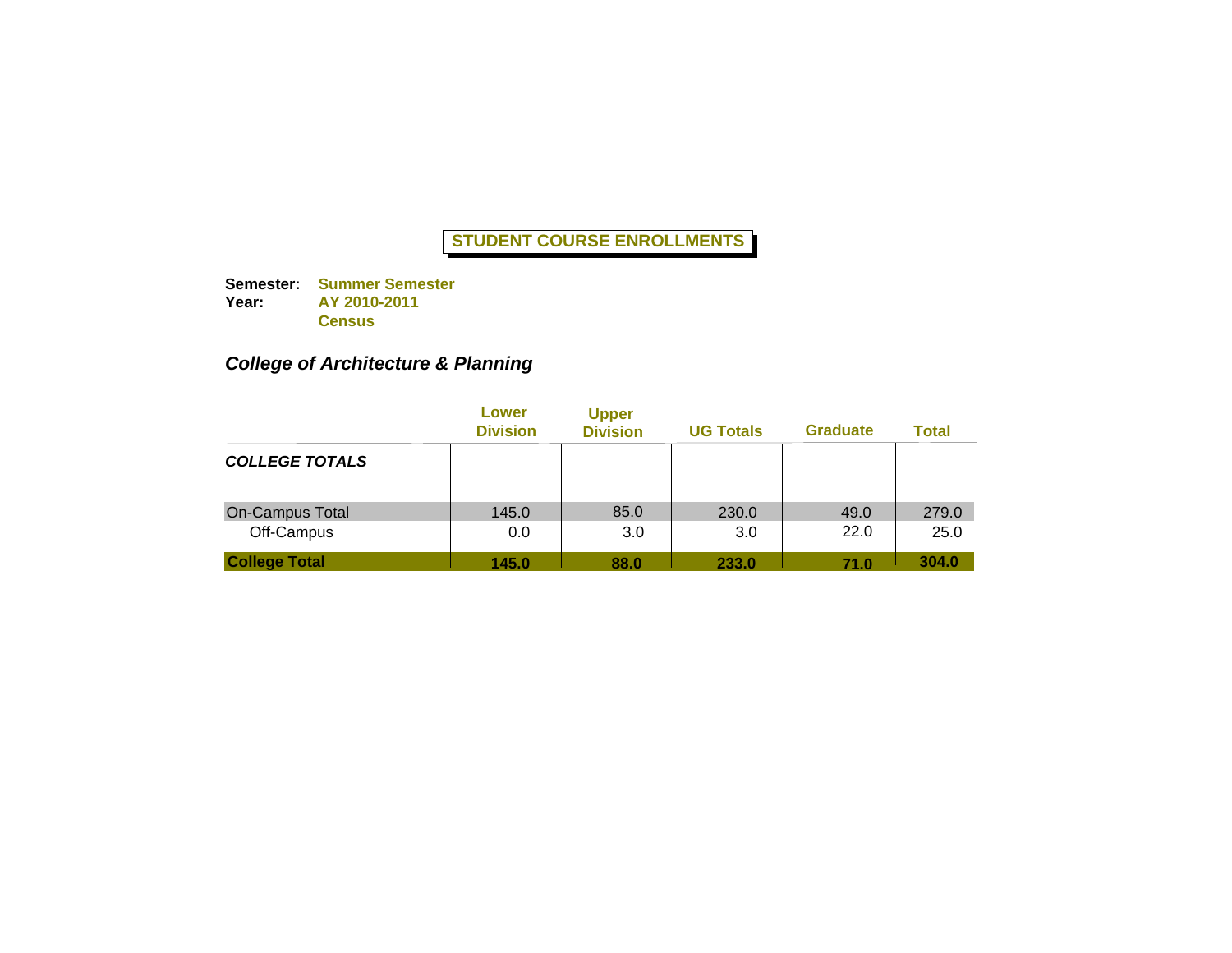**Semester: Summer Semester Year: AY 2010-2011 Census**

# *College of Architecture & Planning*

|                                      | Lower<br><b>Division</b> | <b>Upper</b><br><b>Division</b> | <b>UG Totals</b> | <b>Graduate</b> | <b>Total</b>  |
|--------------------------------------|--------------------------|---------------------------------|------------------|-----------------|---------------|
| <b>COLLEGE TOTALS</b>                |                          |                                 |                  |                 |               |
| <b>On-Campus Total</b><br>Off-Campus | 145.0<br>0.0             | 85.0<br>3.0                     | 230.0<br>3.0     | 49.0<br>22.0    | 279.0<br>25.0 |
| <b>College Total</b>                 | 145.0                    | 88.0                            | 233.0            | 71.0            | 304.0         |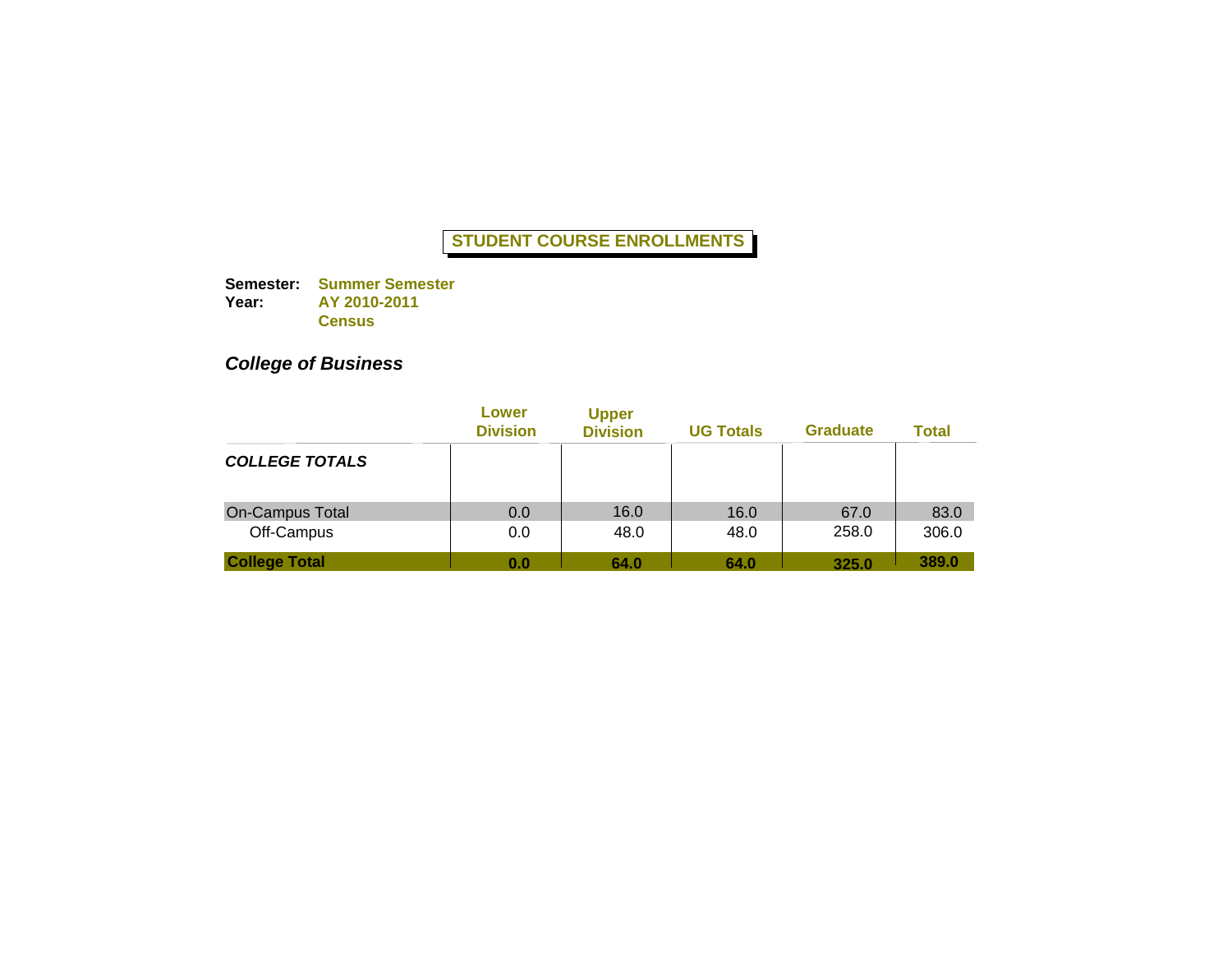**Semester: Summer Semester Year: AY 2010-2011 Census**

# *College of Business*

|                        | Lower<br><b>Division</b> | <b>Upper</b><br><b>Division</b> | <b>UG Totals</b> | <b>Graduate</b> | Total |
|------------------------|--------------------------|---------------------------------|------------------|-----------------|-------|
| <b>COLLEGE TOTALS</b>  |                          |                                 |                  |                 |       |
| <b>On-Campus Total</b> | 0.0                      | 16.0                            | 16.0             | 67.0            | 83.0  |
| Off-Campus             | 0.0                      | 48.0                            | 48.0             | 258.0           | 306.0 |
| <b>College Total</b>   | 0.0                      | 64.0                            | 64.0             | 325.0           | 389.0 |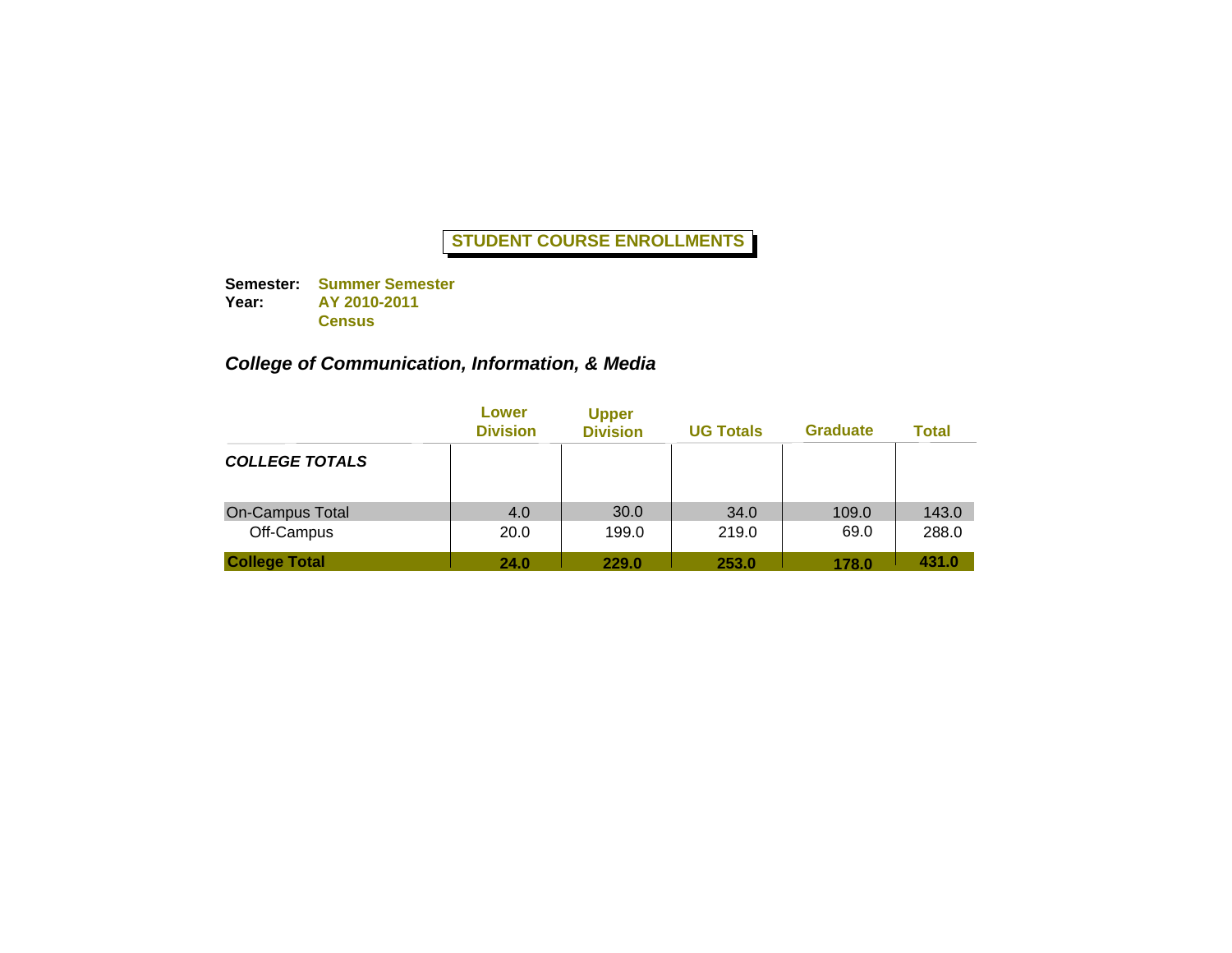**Semester: Summer Semester Year: AY 2010-2011 Census**

## *College of Communication, Information, & Media*

|                                      | Lower<br><b>Division</b> | <b>Upper</b><br><b>Division</b> | <b>UG Totals</b> | <b>Graduate</b> | <b>Total</b>   |
|--------------------------------------|--------------------------|---------------------------------|------------------|-----------------|----------------|
| <b>COLLEGE TOTALS</b>                |                          |                                 |                  |                 |                |
| <b>On-Campus Total</b><br>Off-Campus | 4.0<br>20.0              | 30.0<br>199.0                   | 34.0<br>219.0    | 109.0<br>69.0   | 143.0<br>288.0 |
| <b>College Total</b>                 | 24.0                     | 229.0                           | 253.0            | 178.0           | 431.0          |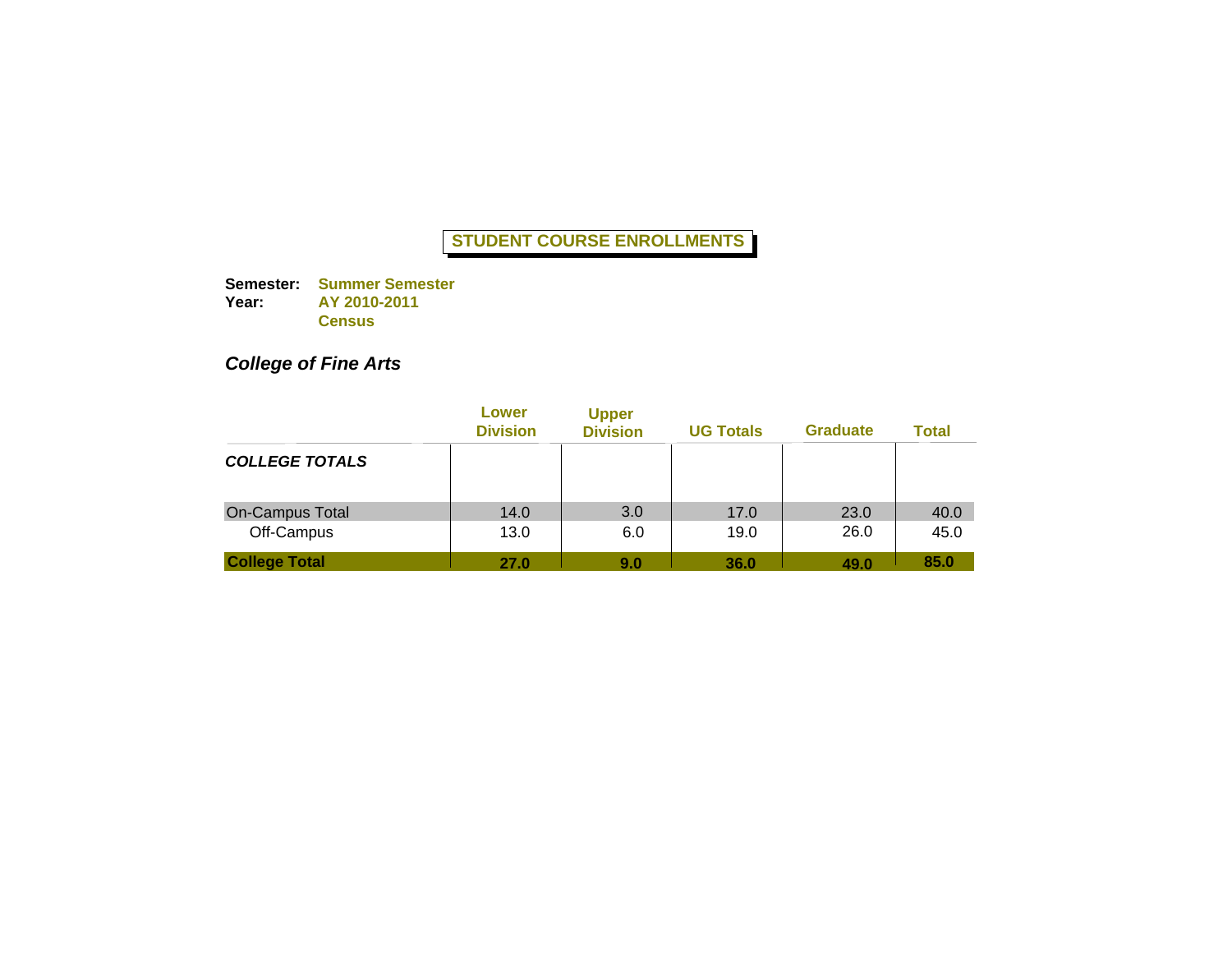**Semester: Summer Semester Year: AY 2010-2011 Census**

# *College of Fine Arts*

|                       | Lower<br><b>Division</b> | <b>Upper</b><br><b>Division</b> | <b>UG Totals</b> | <b>Graduate</b> | Total |
|-----------------------|--------------------------|---------------------------------|------------------|-----------------|-------|
| <b>COLLEGE TOTALS</b> |                          |                                 |                  |                 |       |
| On-Campus Total       | 14.0                     | 3.0                             | 17.0             | 23.0            | 40.0  |
| Off-Campus            | 13.0                     | 6.0                             | 19.0             | 26.0            | 45.0  |
| <b>College Total</b>  | 27.0                     | 9.0                             | 36.0             | 49.0            | 85.0  |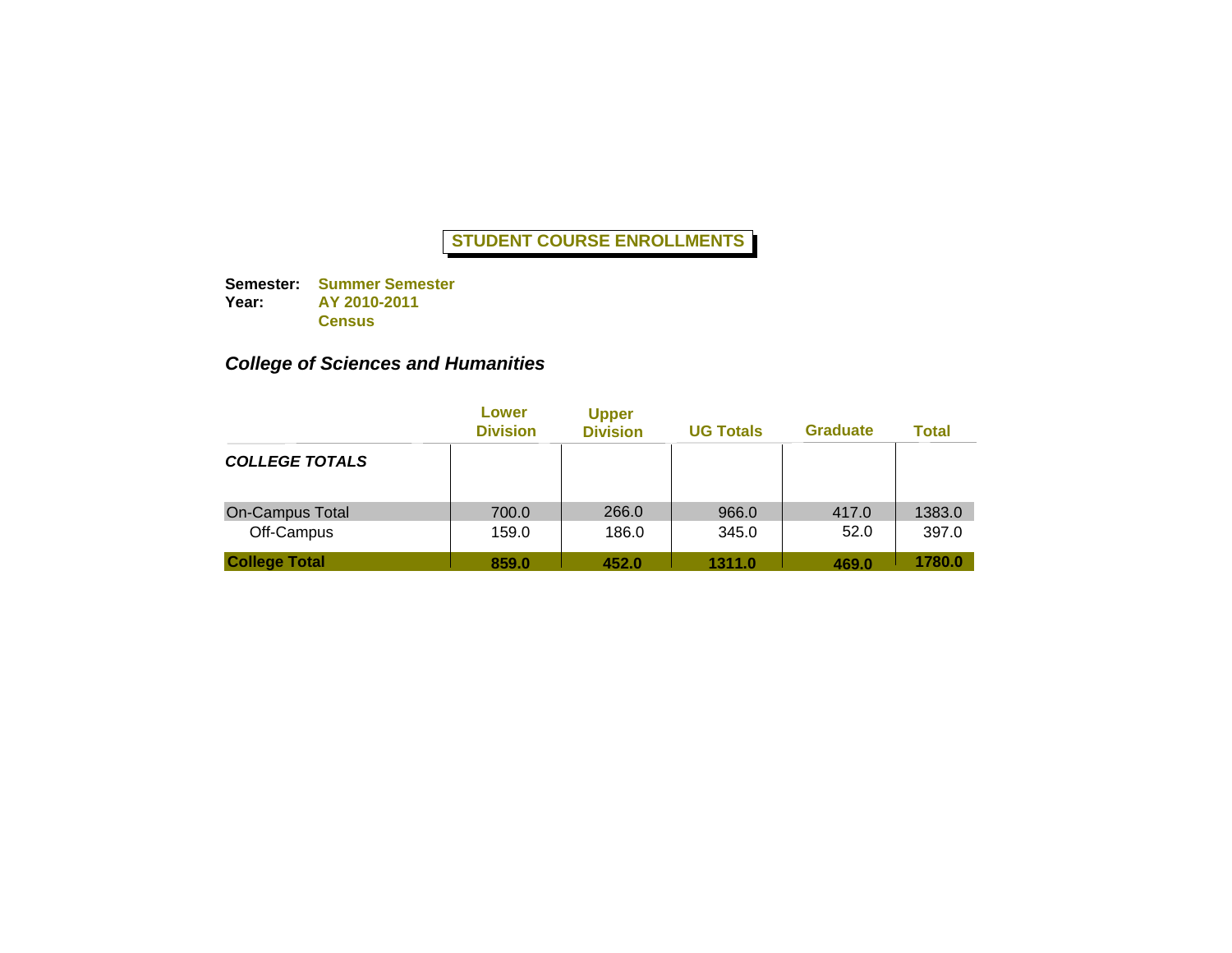**Semester: Summer Semester Year: AY 2010-2011 Census**

## *College of Sciences and Humanities*

|                                      | Lower<br><b>Division</b> | <b>Upper</b><br><b>Division</b> | <b>UG Totals</b> | <b>Graduate</b> | <b>Total</b>    |
|--------------------------------------|--------------------------|---------------------------------|------------------|-----------------|-----------------|
| <b>COLLEGE TOTALS</b>                |                          |                                 |                  |                 |                 |
| <b>On-Campus Total</b><br>Off-Campus | 700.0<br>159.0           | 266.0<br>186.0                  | 966.0<br>345.0   | 417.0<br>52.0   | 1383.0<br>397.0 |
| <b>College Total</b>                 | 859.0                    | 452.0                           | 1311.0           | 469.0           | 1780.0          |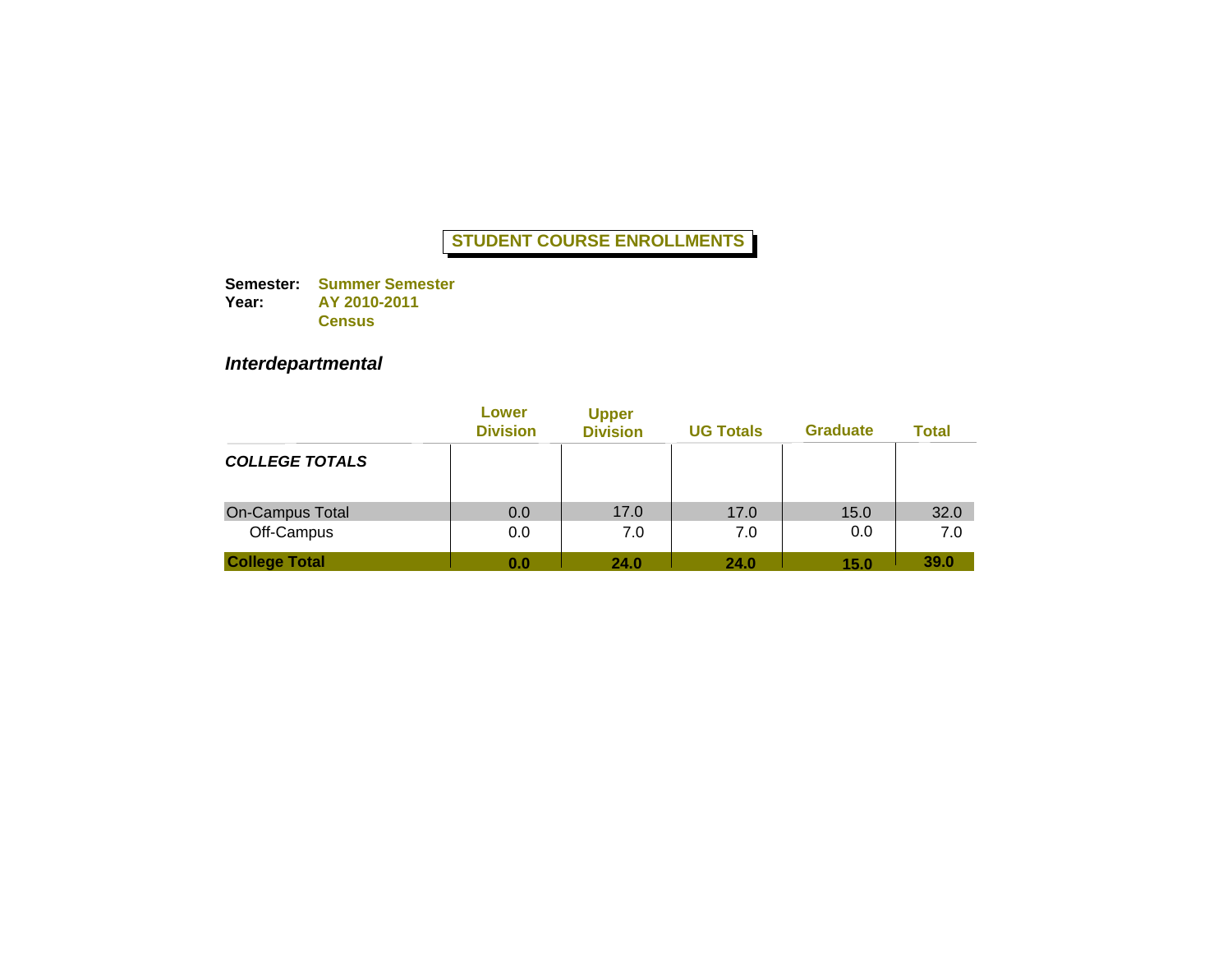**Semester: Summer Semester Year: AY 2010-2011 Census**

# *Interdepartmental*

|                        | Lower<br><b>Division</b> | <b>Upper</b><br><b>Division</b> | <b>UG Totals</b> | <b>Graduate</b> | Total |
|------------------------|--------------------------|---------------------------------|------------------|-----------------|-------|
| <b>COLLEGE TOTALS</b>  |                          |                                 |                  |                 |       |
| <b>On-Campus Total</b> | 0.0                      | 17.0                            | 17.0             | 15.0            | 32.0  |
| Off-Campus             | 0.0                      | 7.0                             | 7.0              | 0.0             | 7.0   |
| <b>College Total</b>   | 0.0                      | 24.0                            | 24.0             | 15.0            | 39.0  |